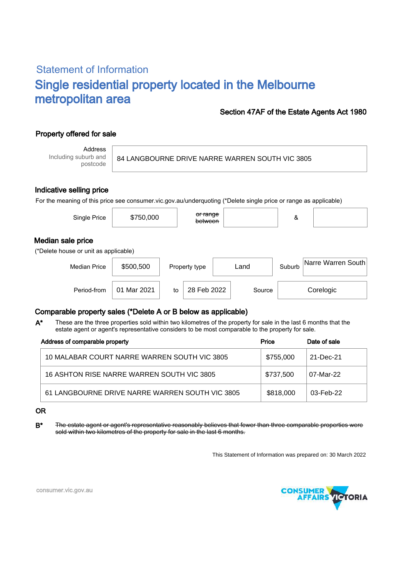# Statement of Information Single residential property located in the Melbourne metropolitan area

### Section 47AF of the Estate Agents Act 1980

## Property offered for sale

Address Including suburb and postcode

84 LANGBOURNE DRIVE NARRE WARREN SOUTH VIC 3805

#### Indicative selling price

For the meaning of this price see consumer.vic.gov.au/underquoting (\*Delete single price or range as applicable)

| Single Price                                               | \$750,000   |    | <del>or range</del><br>between |      |        | &      |                    |  |
|------------------------------------------------------------|-------------|----|--------------------------------|------|--------|--------|--------------------|--|
| Median sale price<br>(*Delete house or unit as applicable) |             |    |                                |      |        |        |                    |  |
| <b>Median Price</b>                                        | \$500,500   |    | Property type                  | Land |        | Suburb | Narre Warren South |  |
| Period-from                                                | 01 Mar 2021 | to | 28 Feb 2022                    |      | Source |        | Corelogic          |  |

## Comparable property sales (\*Delete A or B below as applicable)

These are the three properties sold within two kilometres of the property for sale in the last 6 months that the estate agent or agent's representative considers to be most comparable to the property for sale. A\*

| Address of comparable property                  | Price     | Date of sale |  |
|-------------------------------------------------|-----------|--------------|--|
| 10 MALABAR COURT NARRE WARREN SOUTH VIC 3805    | \$755,000 | 21-Dec-21    |  |
| 16 ASHTON RISE NARRE WARREN SOUTH VIC 3805      | \$737,500 | 07-Mar-22    |  |
| 61 LANGBOURNE DRIVE NARRE WARREN SOUTH VIC 3805 | \$818,000 | 03-Feb-22    |  |

#### OR

B<sup>\*</sup> The estate agent or agent's representative reasonably believes that fewer than three comparable properties were sold within two kilometres of the property for sale in the last 6 months.

This Statement of Information was prepared on: 30 March 2022



consumer.vic.gov.au